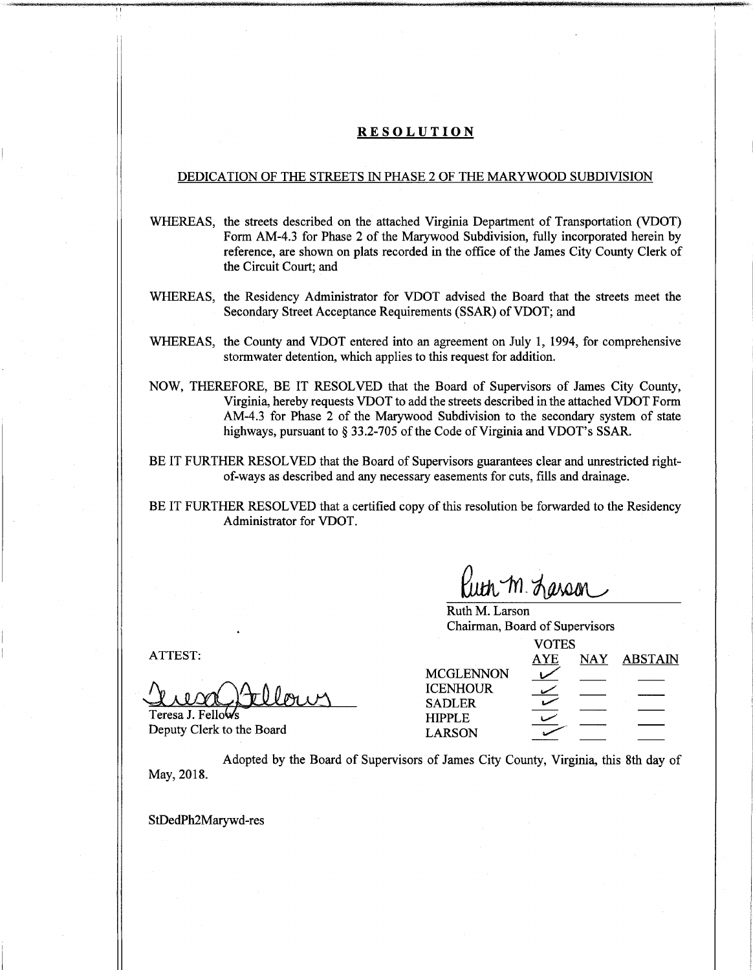### **RESOLUTION**

### DEDICATION OF THE STREETS IN PHASE 2 OF THE MARYWOOD SUBDIVISION

WHEREAS, the streets described on the attached Virginia Department of Transportation (VDOT) Form AM-4.3 for Phase 2 of the Marywood Subdivision, fully incorporated herein by reference, are shown on plats recorded in the office of the James City County Clerk of the Circuit Court; and

- WHEREAS, the Residency Administrator for VDOT advised the Board that the streets meet the Secondary Street Acceptance Requirements (SSAR) of VDOT; and
- WHEREAS, the County and VDOT entered into an agreement on July 1, 1994, for comprehensive stormwater detention, which applies to this request for addition.
- NOW, THEREFORE, BE IT RESOLVED that the Board of Supervisors of James City County, Virginia, hereby requests VDOT to add the streets described in the attached VDOT Form AM-4.3 for Phase 2 of the Marywood Subdivision to the secondary system of state highways, pursuant to § 33.2-705 of the Code of Virginia and VDOT's SSAR.
- BE IT FURTHER RESOLVED that the Board of Supervisors guarantees clear and unrestricted rightof-ways as described and any necessary easements for cuts, fills and drainage.

BE IT FURTHER RESOLVED that a certified copy of this resolution be forwarded to the Residency Administrator for VDOT.

*Kuth m. Larson* 

Ruth M. Larson Chairman, Board of Supervisors

Teresa J. Fellows

| ATTEST:                   | <b>VOTES</b>                     |            |            |                |
|---------------------------|----------------------------------|------------|------------|----------------|
|                           |                                  | <b>AYE</b> | <b>NAY</b> | <b>ABSTAIN</b> |
|                           | <b>MCGLENNON</b>                 |            |            |                |
|                           | <b>ICENHOUR</b><br><b>SADLER</b> |            |            |                |
| Teresa J. Fellows         | <b>HIPPLE</b>                    |            |            |                |
| Deputy Clerk to the Board | <b>LARSON</b>                    |            |            |                |

Adopted by the Board of Supervisors of James City County, Virginia, this 8th day of May, 2018.

StDedPh2Marywd-res